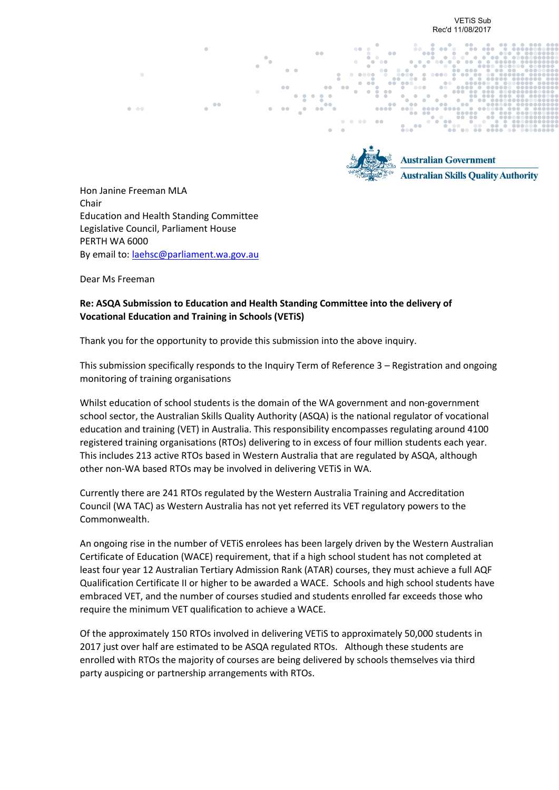

**Australian Government Australian Skills Quality Authority** 

Hon Janine Freeman MLA Chair Education and Health Standing Committee Legislative Council, Parliament House PERTH WA 6000 By email to[: laehsc@parliament.wa.gov.au](mailto:laehsc@parliament.wa.gov.au)

Dear Ms Freeman

## **Re: ASQA Submission to Education and Health Standing Committee into the delivery of Vocational Education and Training in Schools (VETiS)**

Thank you for the opportunity to provide this submission into the above inquiry.

This submission specifically responds to the Inquiry Term of Reference 3 – Registration and ongoing monitoring of training organisations

Whilst education of school students is the domain of the WA government and non-government school sector, the Australian Skills Quality Authority (ASQA) is the national regulator of vocational education and training (VET) in Australia. This responsibility encompasses regulating around 4100 registered training organisations (RTOs) delivering to in excess of four million students each year. This includes 213 active RTOs based in Western Australia that are regulated by ASQA, although other non-WA based RTOs may be involved in delivering VETiS in WA.

Currently there are 241 RTOs regulated by the Western Australia Training and Accreditation Council (WA TAC) as Western Australia has not yet referred its VET regulatory powers to the Commonwealth.

An ongoing rise in the number of VETiS enrolees has been largely driven by the Western Australian Certificate of Education (WACE) requirement, that if a high school student has not completed at least four year 12 Australian Tertiary Admission Rank (ATAR) courses, they must achieve a full AQF Qualification Certificate II or higher to be awarded a WACE. Schools and high school students have embraced VET, and the number of courses studied and students enrolled far exceeds those who require the minimum VET qualification to achieve a WACE.

Of the approximately 150 RTOs involved in delivering VETiS to approximately 50,000 students in 2017 just over half are estimated to be ASQA regulated RTOs. Although these students are enrolled with RTOs the majority of courses are being delivered by schools themselves via third party auspicing or partnership arrangements with RTOs.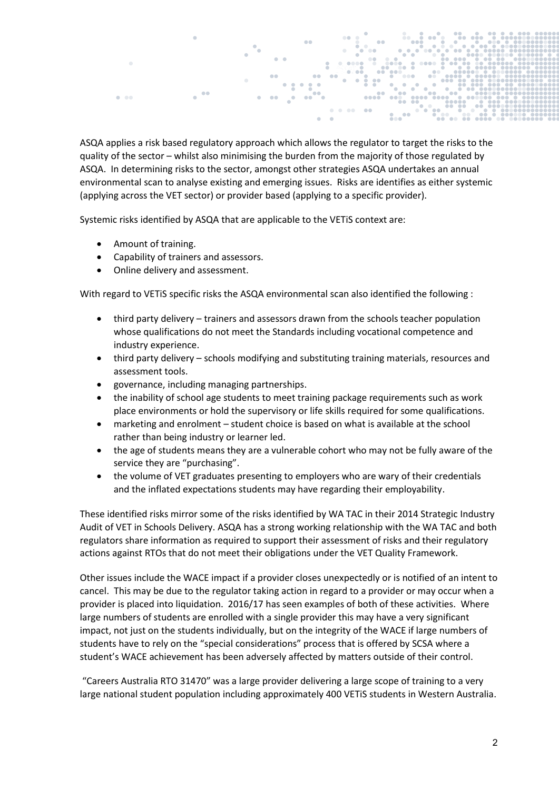

ASQA applies a risk based regulatory approach which allows the regulator to target the risks to the quality of the sector – whilst also minimising the burden from the majority of those regulated by ASQA. In determining risks to the sector, amongst other strategies ASQA undertakes an annual environmental scan to analyse existing and emerging issues. Risks are identifies as either systemic (applying across the VET sector) or provider based (applying to a specific provider).

Systemic risks identified by ASQA that are applicable to the VETiS context are:

- Amount of training.
- Capability of trainers and assessors.
- Online delivery and assessment.

With regard to VETiS specific risks the ASQA environmental scan also identified the following :

- third party delivery trainers and assessors drawn from the schools teacher population whose qualifications do not meet the Standards including vocational competence and industry experience.
- third party delivery schools modifying and substituting training materials, resources and assessment tools.
- governance, including managing partnerships.
- the inability of school age students to meet training package requirements such as work place environments or hold the supervisory or life skills required for some qualifications.
- marketing and enrolment student choice is based on what is available at the school rather than being industry or learner led.
- the age of students means they are a vulnerable cohort who may not be fully aware of the service they are "purchasing".
- the volume of VET graduates presenting to employers who are wary of their credentials and the inflated expectations students may have regarding their employability.

These identified risks mirror some of the risks identified by WA TAC in their 2014 Strategic Industry Audit of VET in Schools Delivery. ASQA has a strong working relationship with the WA TAC and both regulators share information as required to support their assessment of risks and their regulatory actions against RTOs that do not meet their obligations under the VET Quality Framework.

Other issues include the WACE impact if a provider closes unexpectedly or is notified of an intent to cancel. This may be due to the regulator taking action in regard to a provider or may occur when a provider is placed into liquidation. 2016/17 has seen examples of both of these activities. Where large numbers of students are enrolled with a single provider this may have a very significant impact, not just on the students individually, but on the integrity of the WACE if large numbers of students have to rely on the "special considerations" process that is offered by SCSA where a student's WACE achievement has been adversely affected by matters outside of their control.

"Careers Australia RTO 31470" was a large provider delivering a large scope of training to a very large national student population including approximately 400 VETiS students in Western Australia.